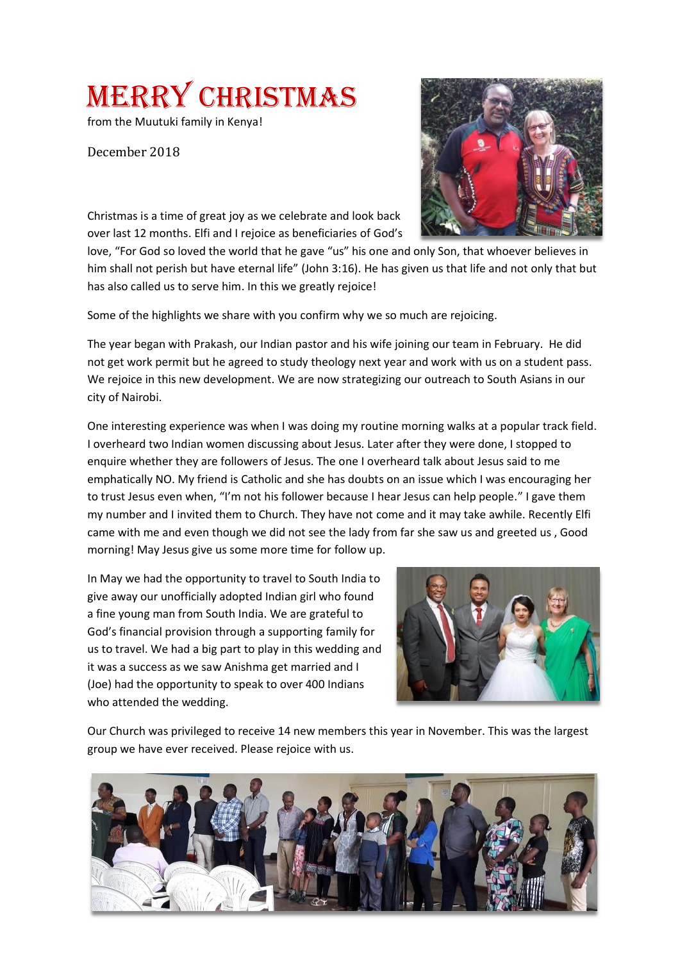Merry Christmas

from the Muutuki family in Kenya!

December 2018

Christmas is a time of great joy as we celebrate and look back over last 12 months. Elfi and I rejoice as beneficiaries of God's

love, "For God so loved the world that he gave "us" his one and only Son, that whoever believes in him shall not perish but have eternal life" (John 3:16). He has given us that life and not only that but has also called us to serve him. In this we greatly rejoice!

Some of the highlights we share with you confirm why we so much are rejoicing.

The year began with Prakash, our Indian pastor and his wife joining our team in February. He did not get work permit but he agreed to study theology next year and work with us on a student pass. We rejoice in this new development. We are now strategizing our outreach to South Asians in our city of Nairobi.

One interesting experience was when I was doing my routine morning walks at a popular track field. I overheard two Indian women discussing about Jesus. Later after they were done, I stopped to enquire whether they are followers of Jesus. The one I overheard talk about Jesus said to me emphatically NO. My friend is Catholic and she has doubts on an issue which I was encouraging her to trust Jesus even when, "I'm not his follower because I hear Jesus can help people." I gave them my number and I invited them to Church. They have not come and it may take awhile. Recently Elfi came with me and even though we did not see the lady from far she saw us and greeted us , Good morning! May Jesus give us some more time for follow up.

In May we had the opportunity to travel to South India to give away our unofficially adopted Indian girl who found a fine young man from South India. We are grateful to God's financial provision through a supporting family for us to travel. We had a big part to play in this wedding and it was a success as we saw Anishma get married and I (Joe) had the opportunity to speak to over 400 Indians who attended the wedding.



Our Church was privileged to receive 14 new members this year in November. This was the largest group we have ever received. Please rejoice with us.